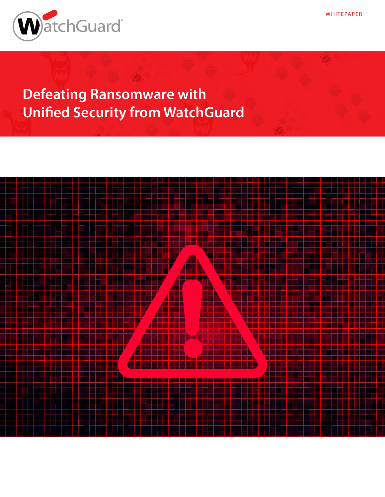

**Defeating Ransomware with Unified Security from WatchGuard**



**WHITEPAPER**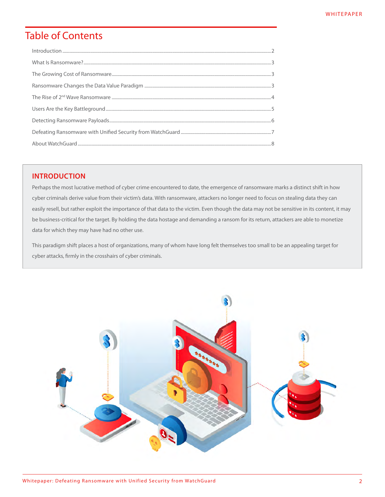# **Table of Contents**

# **INTRODUCTION**

Perhaps the most lucrative method of cyber crime encountered to date, the emergence of ransomware marks a distinct shift in how cyber criminals derive value from their victim's data. With ransomware, attackers no longer need to focus on stealing data they can easily resell, but rather exploit the importance of that data to the victim. Even though the data may not be sensitive in its content, it may be business-critical for the target. By holding the data hostage and demanding a ransom for its return, attackers are able to monetize data for which they may have had no other use.

This paradigm shift places a host of organizations, many of whom have long felt themselves too small to be an appealing target for cyber attacks, firmly in the crosshairs of cyber criminals.

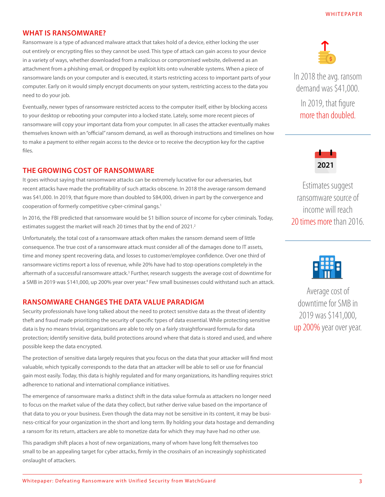# <span id="page-2-0"></span>**WHAT IS RANSOMWARE?**

Ransomware is a type of advanced malware attack that takes hold of a device, either locking the user out entirely or encrypting files so they cannot be used. This type of attack can gain access to your device in a variety of ways, whether downloaded from a malicious or compromised website, delivered as an attachment from a phishing email, or dropped by exploit kits onto vulnerable systems. When a piece of ransomware lands on your computer and is executed, it starts restricting access to important parts of your computer. Early on it would simply encrypt documents on your system, restricting access to the data you need to do your job.

Eventually, newer types of ransomware restricted access to the computer itself, either by blocking access to your desktop or rebooting your computer into a locked state. Lately, some more recent pieces of ransomware will copy your important data from your computer. In all cases the attacker eventually makes themselves known with an "official" ransom demand, as well as thorough instructions and timelines on how to make a payment to either regain access to the device or to receive the decryption key for the captive files.

# **THE GROWING COST OF RANSOMWARE**

It goes without saying that ransomware attacks can be extremely lucrative for our adversaries, but recent attacks have made the profitability of such attacks obscene. In 2018 the average ransom demand was \$41,000. In 2019, that figure more than doubled to \$84,000, driven in part by the convergence and cooperation of formerly competitive cyber-criminal gangs. 1

In 2016, the FBI predicted that ransomware would be \$1 billion source of income for cyber criminals. Today, estimates suggest the market will reach 20 times that by the end of 2021. 2

Unfortunately, the total cost of a ransomware attack often makes the ransom demand seem of little consequence. The true cost of a ransomware attack must consider all of the damages done to IT assets, time and money spent recovering data, and losses to customer/employee confidence. Over one third of ransomware victims report a loss of revenue, while 20% have had to stop operations completely in the aftermath of a successful ransomware attack.<sup>3</sup> Further, research suggests the average cost of downtime for a SMB in 2019 was \$141,000, up 200% year over year. 4 Few small businesses could withstand such an attack.

## **RANSOMWARE CHANGES THE DATA VALUE PARADIGM**

Security professionals have long talked about the need to protect sensitive data as the threat of identity theft and fraud made prioritizing the security of specific types of data essential. While protecting sensitive data is by no means trivial, organizations are able to rely on a fairly straightforward formula for data protection; identify sensitive data, build protections around where that data is stored and used, and where possible keep the data encrypted.

The protection of sensitive data largely requires that you focus on the data that your attacker will find most valuable, which typically corresponds to the data that an attacker will be able to sell or use for financial gain most easily. Today, this data is highly regulated and for many organizations, its handling requires strict adherence to national and international compliance initiatives.

The emergence of ransomware marks a distinct shift in the data value formula as attackers no longer need to focus on the market value of the data they collect, but rather derive value based on the importance of that data to you or your business. Even though the data may not be sensitive in its content, it may be business-critical for your organization in the short and long term. By holding your data hostage and demanding a ransom for its return, attackers are able to monetize data for which they may have had no other use.

This paradigm shift places a host of new organizations, many of whom have long felt themselves too small to be an appealing target for cyber attacks, firmly in the crosshairs of an increasingly sophisticated onslaught of attackers.



In 2018 the avg. ransom demand was \$41,000. In 2019, that figure more than doubled.



Estimates suggest ransomware source of income will reach 20 times more than 2016.



Average cost of downtime for SMB in 2019 was \$141,000, up 200% year over year.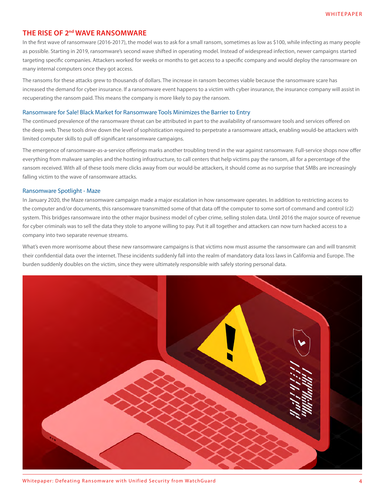# <span id="page-3-0"></span>**THE RISE OF 2nd WAVE RANSOMWARE**

In the first wave of ransomware (2016-2017), the model was to ask for a small ransom, sometimes as low as \$100, while infecting as many people as possible. Starting in 2019, ransomware's second wave shifted in operating model. Instead of widespread infection, newer campaigns started targeting specific companies. Attackers worked for weeks or months to get access to a specific company and would deploy the ransomware on many internal computers once they got access.

The ransoms for these attacks grew to thousands of dollars. The increase in ransom becomes viable because the ransomware scare has increased the demand for cyber insurance. If a ransomware event happens to a victim with cyber insurance, the insurance company will assist in recuperating the ransom paid. This means the company is more likely to pay the ransom.

## Ransomware for Sale! Black Market for Ransomware Tools Minimizes the Barrier to Entry

The continued prevalence of the ransomware threat can be attributed in part to the availability of ransomware tools and services offered on the deep web. These tools drive down the level of sophistication required to perpetrate a ransomware attack, enabling would-be attackers with limited computer skills to pull off significant ransomware campaigns.

The emergence of ransomware-as-a-service offerings marks another troubling trend in the war against ransomware. Full-service shops now offer everything from malware samples and the hosting infrastructure, to call centers that help victims pay the ransom, all for a percentage of the ransom received. With all of these tools mere clicks away from our would-be attackers, it should come as no surprise that SMBs are increasingly falling victim to the wave of ransomware attacks.

## Ransomware Spotlight - Maze

In January 2020, the Maze ransomware campaign made a major escalation in how ransomware operates. In addition to restricting access to the computer and/or documents, this ransomware transmitted some of that data off the computer to some sort of command and control (c2) system. This bridges ransomware into the other major business model of cyber crime, selling stolen data. Until 2016 the major source of revenue for cyber criminals was to sell the data they stole to anyone willing to pay. Put it all together and attackers can now turn hacked access to a company into two separate revenue streams.

What's even more worrisome about these new ransomware campaigns is that victims now must assume the ransomware can and will transmit their confidential data over the internet. These incidents suddenly fall into the realm of mandatory data loss laws in California and Europe. The burden suddenly doubles on the victim, since they were ultimately responsible with safely storing personal data.

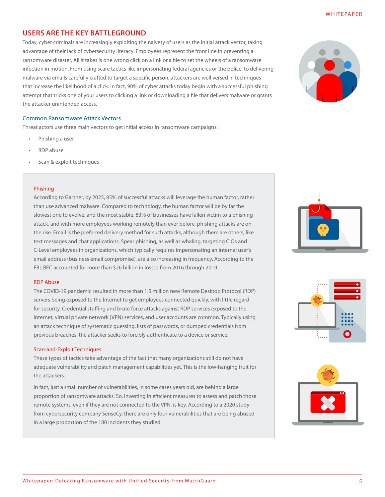# <span id="page-4-0"></span>**USERS ARE THE KEY BATTLEGROUND**

Today, cyber criminals are increasingly exploiting the naivety of users as the initial attack vector, taking advantage of their lack of cybersecurity literacy. Employees represent the front line in preventing a ransomware disaster. All it takes is one wrong click on a link or a file to set the wheels of a ransomware infection in motion. From using scare tactics like impersonating federal agencies or the police, to delivering malware via emails carefully crafted to target a specific person, attackers are well versed in techniques that increase the likelihood of a click. In fact, 90% of cyber attacks today begin with a successful phishing attempt that tricks one of your users to clicking a link or downloading a file that delivers malware or grants the attacker unintended access.

## Common Ransomware Attack Vectors

Threat actors use three main vectors to get initial access in ransomware campaigns:

- Phishing a user
- RDP abuse
- Scan & exploit techniques

## Phishing

According to Gartner, by 2025, 85% of successful attacks will leverage the human factor, rather than use advanced malware. Compared to technology, the human factor will be by far the slowest one to evolve, and the most stable. 83% of businesses have fallen victim to a phishing attack, and with more employees working remotely than ever before, phishing attacks are on the rise. Email is the preferred delivery method for such attacks, although there are others, like text messages and chat applications. Spear phishing, as well as whaling, targeting CIOs and C-Level employees in organizations, which typically requires impersonating an internal user's email address (business email compromise), are also increasing in frequency. According to the FBI, BEC accounted for more than \$26 billion in losses from 2016 through 2019.

## RDP Abuse

The COVID-19 pandemic resulted in more than 1.5 million new Remote Desktop Protocol (RDP) servers being exposed to the Internet to get employees connected quickly, with little regard for security. Credential stuffing and brute force attacks against RDP services exposed to the Internet, virtual private network (VPN) services, and user accounts are common. Typically using an attack technique of systematic guessing, lists of passwords, or dumped credentials from previous breaches, the attacker seeks to forcibly authenticate to a device or service.

#### Scan-and-Exploit Techniques

These types of tactics take advantage of the fact that many organizations still do not have adequate vulnerability and patch management capabilities yet. This is the low-hanging fruit for the attackers.

In fact, just a small number of vulnerabilities, in some cases years old, are behind a large proportion of ransomware attacks. So, investing in efficient measures to assess and patch those remote systems, even if they are not connected to the VPN, is key. According to a 2020 study from cybersecurity company SenseCy, there are only four vulnerabilities that are being abused in a large proportion of the 180 incidents they studied.







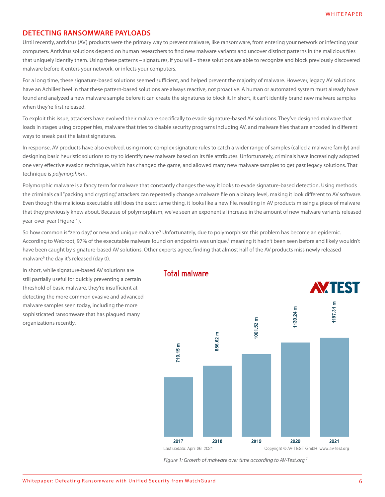## <span id="page-5-0"></span>**DETECTING RANSOMWARE PAYLOADS**

Until recently, antivirus (AV) products were the primary way to prevent malware, like ransomware, from entering your network or infecting your computers. Antivirus solutions depend on human researchers to find new malware variants and uncover distinct patterns in the malicious files that uniquely identify them. Using these patterns – signatures, if you will – these solutions are able to recognize and block previously discovered malware before it enters your network, or infects your computers.

For a long time, these signature-based solutions seemed sufficient, and helped prevent the majority of malware. However, legacy AV solutions have an Achilles' heel in that these pattern-based solutions are always reactive, not proactive. A human or automated system must already have found and analyzed a new malware sample before it can create the signatures to block it. In short, it can't identify brand new malware samples when they're first released.

To exploit this issue, attackers have evolved their malware specifically to evade signature-based AV solutions. They've designed malware that loads in stages using dropper files, malware that tries to disable security programs including AV, and malware files that are encoded in different ways to sneak past the latest signatures.

In response, AV products have also evolved, using more complex signature rules to catch a wider range of samples (called a malware family) and designing basic heuristic solutions to try to identify new malware based on its file attributes. Unfortunately, criminals have increasingly adopted one very effective evasion technique, which has changed the game, and allowed many new malware samples to get past legacy solutions. That technique is *polymorphism*.

Polymorphic malware is a fancy term for malware that constantly changes the way it looks to evade signature-based detection. Using methods the criminals call "packing and crypting," attackers can repeatedly change a malware file on a binary level, making it look different to AV software. Even though the malicious executable still does the exact same thing, it looks like a new file, resulting in AV products missing a piece of malware that they previously knew about. Because of polymorphism, we've seen an exponential increase in the amount of new malware variants released year-over-year (Figure 1).

So how common is "zero day," or new and unique malware? Unfortunately, due to polymorphism this problem has become an epidemic. According to Webroot, 97% of the executable malware found on endpoints was unique,<sup>5</sup> meaning it hadn't been seen before and likely wouldn't have been caught by signature-based AV solutions. Other experts agree, finding that almost half of the AV products miss newly released malware<sup>6</sup> the day it's released (day 0).

In short, while signature-based AV solutions are still partially useful for quickly preventing a certain threshold of basic malware, they're insufficient at detecting the more common evasive and advanced malware samples seen today, including the more sophisticated ransomware that has plagued many organizations recently.



**Total malware** 

 *Figure 1: Growth of malware over time according to AV-Test.org 7*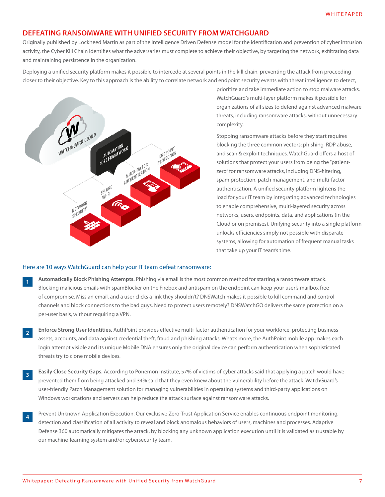## <span id="page-6-0"></span>**DEFEATING RANSOMWARE WITH UNIFIED SECURITY FROM WATCHGUARD**

Originally published by Lockheed Martin as part of the Intelligence Driven Defense model for the identification and prevention of cyber intrusion activity, the Cyber Kill Chain identifies what the adversaries must complete to achieve their objective, by targeting the network, exfiltrating data and maintaining persistence in the organization.

Deploying a unified security platform makes it possible to intercede at several points in the kill chain, preventing the attack from proceeding closer to their objective. Key to this approach is the ability to correlate network and endpoint security events with threat intelligence to detect,



prioritize and take immediate action to stop malware attacks. WatchGuard's multi-layer platform makes it possible for organizations of all sizes to defend against advanced malware threats, including ransomware attacks, without unnecessary complexity.

Stopping ransomware attacks before they start requires blocking the three common vectors: phishing, RDP abuse, and scan & exploit techniques. WatchGuard offers a host of solutions that protect your users from being the "patientzero" for ransomware attacks, including DNS-filtering, spam protection, patch management, and multi-factor authentication. A unified security platform lightens the load for your IT team by integrating advanced technologies to enable comprehensive, multi-layered security across networks, users, endpoints, data, and applications (in the Cloud or on premises). Unifying security into a single platform unlocks efficiencies simply not possible with disparate systems, allowing for automation of frequent manual tasks that take up your IT team's time.

## Here are 10 ways WatchGuard can help your IT team defeat ransomware:

- **Automatically Block Phishing Attempts.** Phishing via email is the most common method for starting a ransomware attack. Blocking malicious emails with spamBlocker on the Firebox and antispam on the endpoint can keep your user's mailbox free of compromise. Miss an email, and a user clicks a link they shouldn't? DNSWatch makes it possible to kill command and control channels and block connections to the bad guys. Need to protect users remotely? DNSWatchGO delivers the same protection on a per-user basis, without requiring a VPN. **1**
- **Enforce Strong User Identities.** AuthPoint provides effective multi-factor authentication for your workforce, protecting business assets, accounts, and data against credential theft, fraud and phishing attacks. What's more, the AuthPoint mobile app makes each login attempt visible and its unique Mobile DNA ensures only the original device can perform authentication when sophisticated threats try to clone mobile devices. **2**
- **Easily Close Security Gaps.** According to Ponemon Institute, 57% of victims of cyber attacks said that applying a patch would have prevented them from being attacked and 34% said that they even knew about the vulnerability before the attack. WatchGuard's user-friendly Patch Management solution for managing vulnerabilities in operating systems and third-party applications on Windows workstations and servers can help reduce the attack surface against ransomware attacks. **3**
- Prevent Unknown Application Execution. Our exclusive Zero-Trust Application Service enables continuous endpoint monitoring, detection and classification of all activity to reveal and block anomalous behaviors of users, machines and processes. Adaptive Defense 360 automatically mitigates the attack, by blocking any unknown application execution until it is validated as trustable by our machine-learning system and/or cybersecurity team. **4**